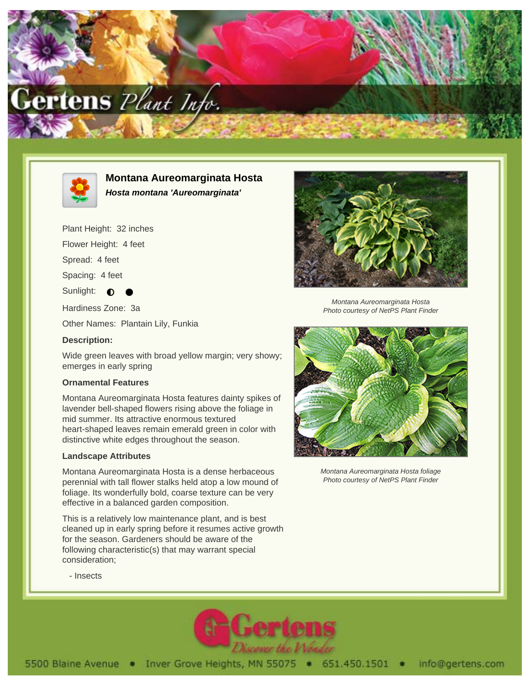



# **Montana Aureomarginata Hosta Hosta montana 'Aureomarginata'**

Plant Height: 32 inches

Flower Height: 4 feet

Spread: 4 feet

Spacing: 4 feet

Sunlight:  $\bullet$ 

Hardiness Zone: 3a

Other Names: Plantain Lily, Funkia

#### **Description:**

Wide green leaves with broad yellow margin; very showy; emerges in early spring

### **Ornamental Features**

Montana Aureomarginata Hosta features dainty spikes of lavender bell-shaped flowers rising above the foliage in mid summer. Its attractive enormous textured heart-shaped leaves remain emerald green in color with distinctive white edges throughout the season.

## **Landscape Attributes**

Montana Aureomarginata Hosta is a dense herbaceous perennial with tall flower stalks held atop a low mound of foliage. Its wonderfully bold, coarse texture can be very effective in a balanced garden composition.

This is a relatively low maintenance plant, and is best cleaned up in early spring before it resumes active growth for the season. Gardeners should be aware of the following characteristic(s) that may warrant special consideration;



Montana Aureomarginata Hosta Photo courtesy of NetPS Plant Finder



Montana Aureomarginata Hosta foliage Photo courtesy of NetPS Plant Finder

- Insects